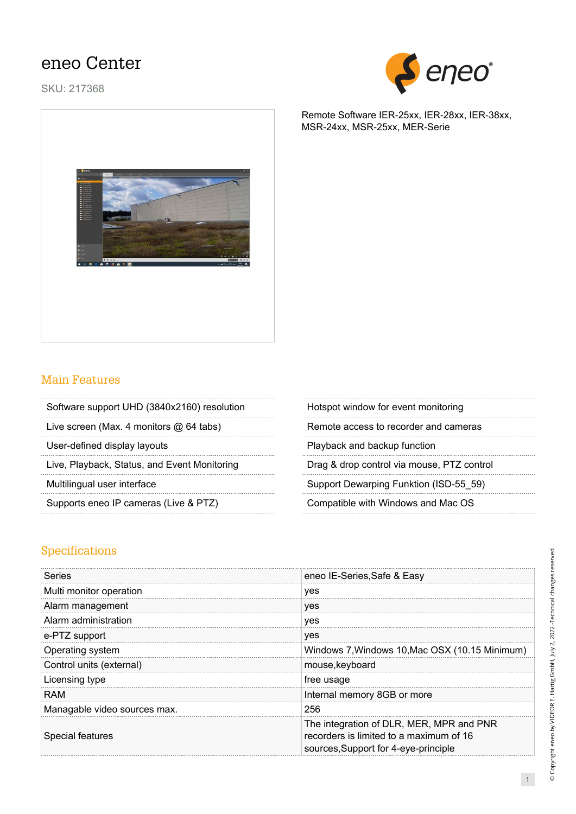## eneo Center

SKU: 217368



## Main Features

| Software support UHD (3840x2160) resolution | Hotspot window for event monitoring |
|---------------------------------------------|-------------------------------------|
|                                             |                                     |

Live screen (Max. 4 monitors  $@64$  tabs)

User-defined display layouts

Live, Playback, Status, and Event Monitoring

Multilingual user interface

Supports eneo IP cameras (Live & PTZ) Compatible with Windows and Mac OS

| Hotspot window for event monitoring        |
|--------------------------------------------|
| Remote access to recorder and cameras      |
| Playback and backup function               |
| Drag & drop control via mouse, PTZ control |
| Support Dewarping Funktion (ISD-55 59)     |

## Specifications

| Series                       | eneo IE-Series, Safe & Easy                                                                                                 |
|------------------------------|-----------------------------------------------------------------------------------------------------------------------------|
| Multi monitor operation      | yes                                                                                                                         |
| Alarm management             | ves                                                                                                                         |
| Alarm administration         | ves                                                                                                                         |
| e-PTZ support                | ves                                                                                                                         |
| Operating system             | Windows 7, Windows 10, Mac OSX (10.15 Minimum)                                                                              |
| Control units (external)     | mouse, keyboard                                                                                                             |
| Licensing type               | free usage                                                                                                                  |
| RAM                          | Internal memory 8GB or more                                                                                                 |
| Managable video sources max. | 256                                                                                                                         |
| Special features             | The integration of DLR, MER, MPR and PNR<br>recorders is limited to a maximum of 16<br>sources, Support for 4-eye-principle |

Remote Software IER-25xx, IER-28xx, IER-38xx, MSR-24xx, MSR-25xx, MER-Serie